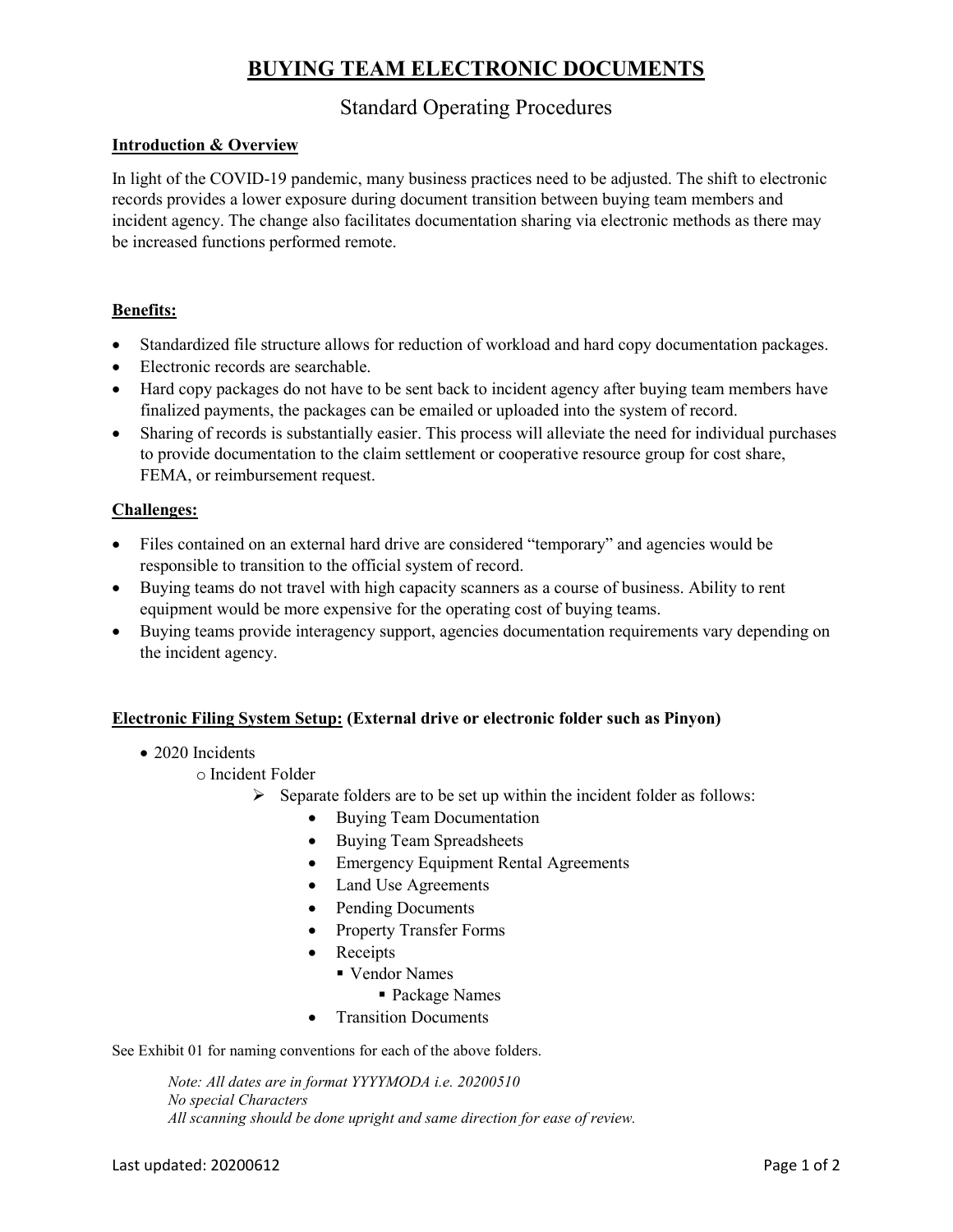## **BUYING TEAM ELECTRONIC DOCUMENTS**

### Standard Operating Procedures

#### **Introduction & Overview**

In light of the COVID-19 pandemic, many business practices need to be adjusted. The shift to electronic records provides a lower exposure during document transition between buying team members and incident agency. The change also facilitates documentation sharing via electronic methods as there may be increased functions performed remote.

#### **Benefits:**

- Standardized file structure allows for reduction of workload and hard copy documentation packages.
- Electronic records are searchable.
- Hard copy packages do not have to be sent back to incident agency after buying team members have finalized payments, the packages can be emailed or uploaded into the system of record.
- Sharing of records is substantially easier. This process will alleviate the need for individual purchases to provide documentation to the claim settlement or cooperative resource group for cost share, FEMA, or reimbursement request.

#### **Challenges:**

- Files contained on an external hard drive are considered "temporary" and agencies would be responsible to transition to the official system of record.
- Buying teams do not travel with high capacity scanners as a course of business. Ability to rent equipment would be more expensive for the operating cost of buying teams.
- Buying teams provide interagency support, agencies documentation requirements vary depending on the incident agency.

#### **Electronic Filing System Setup: (External drive or electronic folder such as Pinyon)**

- 2020 Incidents
	- o Incident Folder
		- $\triangleright$  Separate folders are to be set up within the incident folder as follows:
			- Buying Team Documentation
				- Buying Team Spreadsheets
				- Emergency Equipment Rental Agreements
				- Land Use Agreements
				- Pending Documents
				- Property Transfer Forms
				- Receipts
					- Vendor Names
						- Package Names
				- **Transition Documents**

See Exhibit 01 for naming conventions for each of the above folders.

*Note: All dates are in format YYYYMODA i.e. 20200510 No special Characters All scanning should be done upright and same direction for ease of review.*